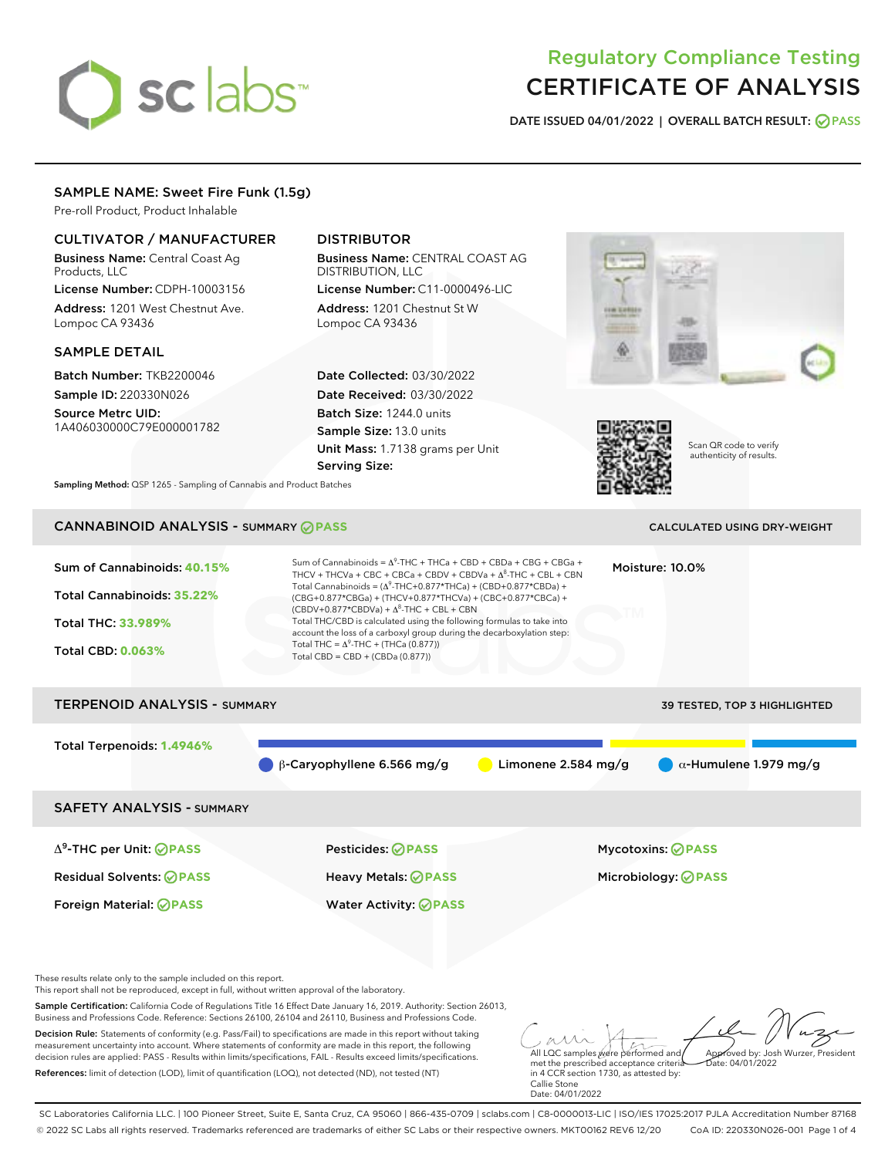# sclabs<sup>\*</sup>

# Regulatory Compliance Testing CERTIFICATE OF ANALYSIS

DATE ISSUED 04/01/2022 | OVERALL BATCH RESULT: @ PASS

# SAMPLE NAME: Sweet Fire Funk (1.5g)

Pre-roll Product, Product Inhalable

# CULTIVATOR / MANUFACTURER

Business Name: Central Coast Ag Products, LLC

License Number: CDPH-10003156 Address: 1201 West Chestnut Ave. Lompoc CA 93436

# SAMPLE DETAIL

Batch Number: TKB2200046 Sample ID: 220330N026

Source Metrc UID: 1A406030000C79E000001782

# DISTRIBUTOR

Business Name: CENTRAL COAST AG DISTRIBUTION, LLC

License Number: C11-0000496-LIC Address: 1201 Chestnut St W Lompoc CA 93436

Date Collected: 03/30/2022 Date Received: 03/30/2022 Batch Size: 1244.0 units Sample Size: 13.0 units Unit Mass: 1.7138 grams per Unit Serving Size:





Scan QR code to verify authenticity of results.

Sampling Method: QSP 1265 - Sampling of Cannabis and Product Batches

# CANNABINOID ANALYSIS - SUMMARY **PASS** CALCULATED USING DRY-WEIGHT

| Sum of Cannabinoids: 40.15%<br>Total Cannabinoids: 35.22%<br>Total THC: 33.989%<br><b>Total CBD: 0.063%</b> | Sum of Cannabinoids = $\Delta^9$ -THC + THCa + CBD + CBDa + CBG + CBGa +<br>THCV + THCVa + CBC + CBCa + CBDV + CBDVa + $\Lambda^8$ -THC + CBL + CBN<br>Total Cannabinoids = $(\Delta^9$ -THC+0.877*THCa) + (CBD+0.877*CBDa) +<br>(CBG+0.877*CBGa) + (THCV+0.877*THCVa) + (CBC+0.877*CBCa) +<br>$(CBDV+0.877*CBDVa) + \Delta^8$ -THC + CBL + CBN<br>Total THC/CBD is calculated using the following formulas to take into<br>account the loss of a carboxyl group during the decarboxylation step:<br>Total THC = $\Delta^9$ -THC + (THCa (0.877))<br>Total CBD = CBD + (CBDa (0.877)) |                       | Moisture: 10.0%                                 |  |
|-------------------------------------------------------------------------------------------------------------|---------------------------------------------------------------------------------------------------------------------------------------------------------------------------------------------------------------------------------------------------------------------------------------------------------------------------------------------------------------------------------------------------------------------------------------------------------------------------------------------------------------------------------------------------------------------------------------|-----------------------|-------------------------------------------------|--|
| <b>TERPENOID ANALYSIS - SUMMARY</b>                                                                         |                                                                                                                                                                                                                                                                                                                                                                                                                                                                                                                                                                                       |                       | 39 TESTED, TOP 3 HIGHLIGHTED                    |  |
| Total Terpenoids: 1.4946%                                                                                   | $\beta$ -Caryophyllene 6.566 mg/g                                                                                                                                                                                                                                                                                                                                                                                                                                                                                                                                                     | Limonene $2.584$ mg/g | $\alpha$ -Humulene 1.979 mg/g                   |  |
| <b>SAFETY ANALYSIS - SUMMARY</b>                                                                            |                                                                                                                                                                                                                                                                                                                                                                                                                                                                                                                                                                                       |                       |                                                 |  |
| $\Delta^9$ -THC per Unit: <b>PASS</b><br><b>Residual Solvents: ⊘PASS</b>                                    | Pesticides: ⊘PASS<br>Heavy Metals: ⊘PASS                                                                                                                                                                                                                                                                                                                                                                                                                                                                                                                                              |                       | Mycotoxins: ⊘PASS<br>Microbiology: <b>⊘PASS</b> |  |

These results relate only to the sample included on this report. This report shall not be reproduced, except in full, without written approval of the laboratory.

Sample Certification: California Code of Regulations Title 16 Effect Date January 16, 2019. Authority: Section 26013, Business and Professions Code. Reference: Sections 26100, 26104 and 26110, Business and Professions Code.

Decision Rule: Statements of conformity (e.g. Pass/Fail) to specifications are made in this report without taking measurement uncertainty into account. Where statements of conformity are made in this report, the following decision rules are applied: PASS - Results within limits/specifications, FAIL - Results exceed limits/specifications. References: limit of detection (LOD), limit of quantification (LOQ), not detected (ND), not tested (NT)

Foreign Material: **PASS** Water Activity: **PASS**

All LQC samples were performed and Approved by: Josh Wurzer, President Date: 04/01/2022

met the prescribed acceptance criteria in 4 CCR section 1730, as attested by: Callie Stone Date: 04/01/2022

SC Laboratories California LLC. | 100 Pioneer Street, Suite E, Santa Cruz, CA 95060 | 866-435-0709 | sclabs.com | C8-0000013-LIC | ISO/IES 17025:2017 PJLA Accreditation Number 87168 © 2022 SC Labs all rights reserved. Trademarks referenced are trademarks of either SC Labs or their respective owners. MKT00162 REV6 12/20 CoA ID: 220330N026-001 Page 1 of 4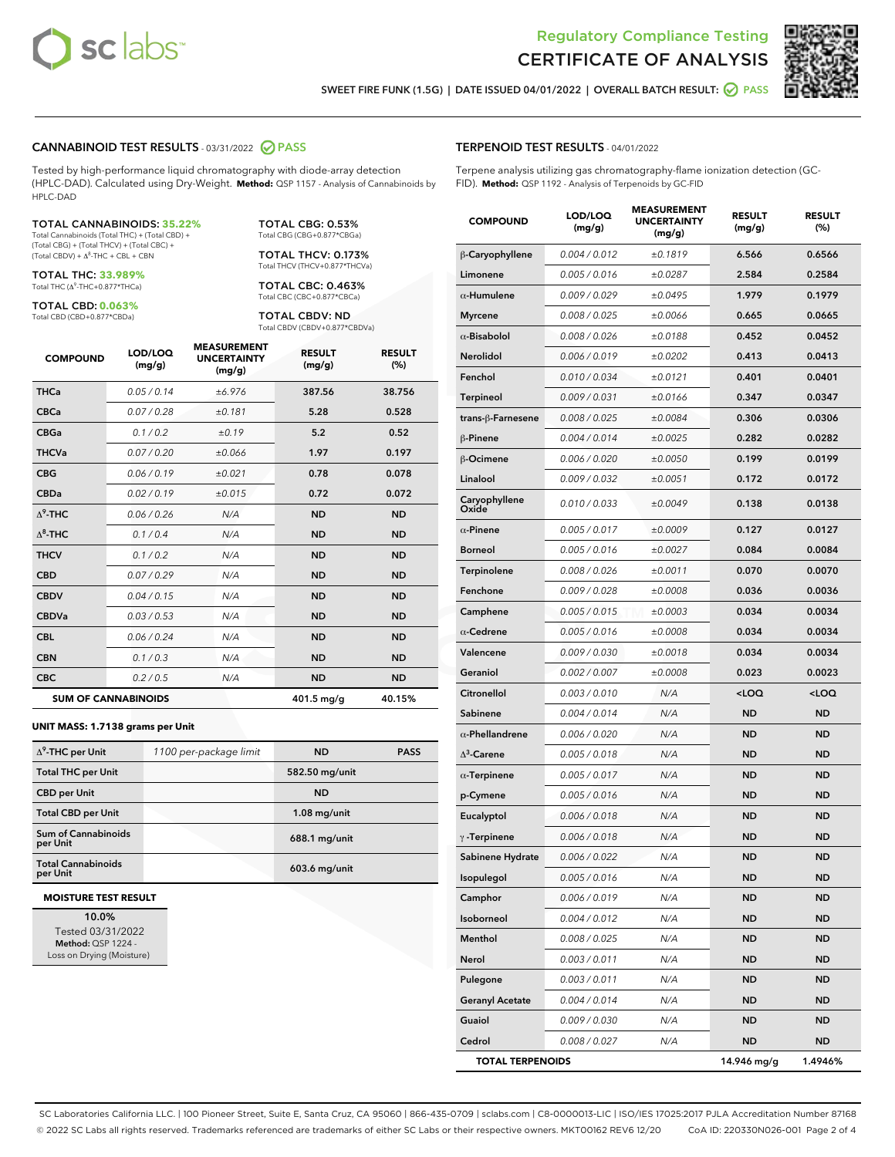



SWEET FIRE FUNK (1.5G) | DATE ISSUED 04/01/2022 | OVERALL BATCH RESULT: **O PASS** 

# CANNABINOID TEST RESULTS - 03/31/2022 2 PASS

Tested by high-performance liquid chromatography with diode-array detection (HPLC-DAD). Calculated using Dry-Weight. **Method:** QSP 1157 - Analysis of Cannabinoids by HPLC-DAD

### TOTAL CANNABINOIDS: **35.22%**

Total Cannabinoids (Total THC) + (Total CBD) + (Total CBG) + (Total THCV) + (Total CBC) +  $(Total$  CBDV) +  $\Delta$ <sup>8</sup>-THC + CBL + CBN

TOTAL THC: **33.989%** Total THC (Δ<sup>9</sup> -THC+0.877\*THCa)

TOTAL CBD: **0.063%** Total CBD (CBD+0.877\*CBDa)

TOTAL CBG: 0.53% Total CBG (CBG+0.877\*CBGa)

TOTAL THCV: 0.173% Total THCV (THCV+0.877\*THCVa)

TOTAL CBC: 0.463% Total CBC (CBC+0.877\*CBCa)

TOTAL CBDV: ND Total CBDV (CBDV+0.877\*CBDVa)

| <b>COMPOUND</b>            | LOD/LOQ<br>(mg/g) | <b>MEASUREMENT</b><br><b>UNCERTAINTY</b><br>(mg/g) | <b>RESULT</b><br>(mg/g) | <b>RESULT</b><br>(%) |
|----------------------------|-------------------|----------------------------------------------------|-------------------------|----------------------|
| <b>THCa</b>                | 0.05/0.14         | ±6.976                                             | 387.56                  | 38.756               |
| <b>CBCa</b>                | 0.07 / 0.28       | ±0.181                                             | 5.28                    | 0.528                |
| <b>CBGa</b>                | 0.1/0.2           | ±0.19                                              | 5.2                     | 0.52                 |
| <b>THCVa</b>               | 0.07 / 0.20       | ±0.066                                             | 1.97                    | 0.197                |
| <b>CBG</b>                 | 0.06/0.19         | ±0.021                                             | 0.78                    | 0.078                |
| <b>CBDa</b>                | 0.02/0.19         | ±0.015                                             | 0.72                    | 0.072                |
| $\Lambda^9$ -THC           | 0.06/0.26         | N/A                                                | <b>ND</b>               | <b>ND</b>            |
| $\Lambda^8$ -THC           | 0.1/0.4           | N/A                                                | <b>ND</b>               | <b>ND</b>            |
| <b>THCV</b>                | 0.1/0.2           | N/A                                                | <b>ND</b>               | <b>ND</b>            |
| <b>CBD</b>                 | 0.07/0.29         | N/A                                                | <b>ND</b>               | <b>ND</b>            |
| <b>CBDV</b>                | 0.04 / 0.15       | N/A                                                | <b>ND</b>               | <b>ND</b>            |
| <b>CBDVa</b>               | 0.03 / 0.53       | N/A                                                | <b>ND</b>               | <b>ND</b>            |
| <b>CBL</b>                 | 0.06/0.24         | N/A                                                | <b>ND</b>               | <b>ND</b>            |
| <b>CBN</b>                 | 0.1/0.3           | N/A                                                | <b>ND</b>               | <b>ND</b>            |
| <b>CBC</b>                 | 0.2 / 0.5         | N/A                                                | <b>ND</b>               | <b>ND</b>            |
| <b>SUM OF CANNABINOIDS</b> |                   |                                                    | 401.5 mg/g              | 40.15%               |

### **UNIT MASS: 1.7138 grams per Unit**

| $\Delta^9$ -THC per Unit               | 1100 per-package limit | <b>ND</b>       | <b>PASS</b> |
|----------------------------------------|------------------------|-----------------|-------------|
| <b>Total THC per Unit</b>              |                        | 582.50 mg/unit  |             |
| <b>CBD per Unit</b>                    |                        | <b>ND</b>       |             |
| <b>Total CBD per Unit</b>              |                        | $1.08$ mg/unit  |             |
| <b>Sum of Cannabinoids</b><br>per Unit |                        | $688.1$ mg/unit |             |
| <b>Total Cannabinoids</b><br>per Unit  |                        | $603.6$ mg/unit |             |

### **MOISTURE TEST RESULT**

10.0% Tested 03/31/2022 Method: QSP 1224 - Loss on Drying (Moisture)

# TERPENOID TEST RESULTS - 04/01/2022

Terpene analysis utilizing gas chromatography-flame ionization detection (GC-FID). **Method:** QSP 1192 - Analysis of Terpenoids by GC-FID

| <b>COMPOUND</b>         | LOD/LOQ<br>(mg/g) | <b>MEASUREMENT</b><br><b>UNCERTAINTY</b><br>(mg/g) | <b>RESULT</b><br>(mg/g)                         | <b>RESULT</b><br>(%) |
|-------------------------|-------------------|----------------------------------------------------|-------------------------------------------------|----------------------|
| β-Caryophyllene         | 0.004 / 0.012     | ±0.1819                                            | 6.566                                           | 0.6566               |
| Limonene                | 0.005 / 0.016     | ±0.0287                                            | 2.584                                           | 0.2584               |
| $\alpha$ -Humulene      | 0.009/0.029       | ±0.0495                                            | 1.979                                           | 0.1979               |
| <b>Myrcene</b>          | 0.008 / 0.025     | ±0.0066                                            | 0.665                                           | 0.0665               |
| $\alpha$ -Bisabolol     | 0.008 / 0.026     | ±0.0188                                            | 0.452                                           | 0.0452               |
| <b>Nerolidol</b>        | 0.006 / 0.019     | ±0.0202                                            | 0.413                                           | 0.0413               |
| Fenchol                 | 0.010 / 0.034     | ±0.0121                                            | 0.401                                           | 0.0401               |
| Terpineol               | 0.009 / 0.031     | ±0.0166                                            | 0.347                                           | 0.0347               |
| trans-ß-Farnesene       | 0.008 / 0.025     | ±0.0084                                            | 0.306                                           | 0.0306               |
| β-Pinene                | 0.004 / 0.014     | ±0.0025                                            | 0.282                                           | 0.0282               |
| β-Ocimene               | 0.006 / 0.020     | ±0.0050                                            | 0.199                                           | 0.0199               |
| Linalool                | 0.009 / 0.032     | ±0.0051                                            | 0.172                                           | 0.0172               |
| Caryophyllene<br>Oxide  | 0.010 / 0.033     | ±0.0049                                            | 0.138                                           | 0.0138               |
| $\alpha$ -Pinene        | 0.005 / 0.017     | ±0.0009                                            | 0.127                                           | 0.0127               |
| <b>Borneol</b>          | 0.005 / 0.016     | ±0.0027                                            | 0.084                                           | 0.0084               |
| Terpinolene             | 0.008 / 0.026     | ±0.0011                                            | 0.070                                           | 0.0070               |
| Fenchone                | 0.009 / 0.028     | ±0.0008                                            | 0.036                                           | 0.0036               |
| Camphene                | 0.005 / 0.015     | ±0.0003                                            | 0.034                                           | 0.0034               |
| $\alpha$ -Cedrene       | 0.005 / 0.016     | ±0.0008                                            | 0.034                                           | 0.0034               |
| Valencene               | 0.009 / 0.030     | ±0.0018                                            | 0.034                                           | 0.0034               |
| Geraniol                | 0.002 / 0.007     | ±0.0008                                            | 0.023                                           | 0.0023               |
| Citronellol             | 0.003 / 0.010     | N/A                                                | <loq< th=""><th><loq< th=""></loq<></th></loq<> | <loq< th=""></loq<>  |
| Sabinene                | 0.004 / 0.014     | N/A                                                | <b>ND</b>                                       | <b>ND</b>            |
| $\alpha$ -Phellandrene  | 0.006 / 0.020     | N/A                                                | ND                                              | <b>ND</b>            |
| $\Delta^3$ -Carene      | 0.005 / 0.018     | N/A                                                | <b>ND</b>                                       | ND                   |
| $\alpha$ -Terpinene     | 0.005 / 0.017     | N/A                                                | <b>ND</b>                                       | ND                   |
| p-Cymene                | 0.005 / 0.016     | N/A                                                | ND                                              | <b>ND</b>            |
| Eucalyptol              | 0.006 / 0.018     | N/A                                                | <b>ND</b>                                       | <b>ND</b>            |
| $\gamma$ -Terpinene     | 0.006 / 0.018     | N/A                                                | ND                                              | ND                   |
| Sabinene Hydrate        | 0.006 / 0.022     | N/A                                                | <b>ND</b>                                       | <b>ND</b>            |
| Isopulegol              | 0.005 / 0.016     | N/A                                                | ND                                              | ND                   |
| Camphor                 | 0.006 / 0.019     | N/A                                                | ND                                              | ND                   |
| Isoborneol              | 0.004 / 0.012     | N/A                                                | <b>ND</b>                                       | ND                   |
| Menthol                 | 0.008 / 0.025     | N/A                                                | <b>ND</b>                                       | ND                   |
| Nerol                   | 0.003 / 0.011     | N/A                                                | ND                                              | ND                   |
| Pulegone                | 0.003 / 0.011     | N/A                                                | <b>ND</b>                                       | ND                   |
| <b>Geranyl Acetate</b>  | 0.004 / 0.014     | N/A                                                | <b>ND</b>                                       | ND                   |
| Guaiol                  | 0.009 / 0.030     | N/A                                                | ND                                              | ND                   |
| Cedrol                  | 0.008 / 0.027     | N/A                                                | <b>ND</b>                                       | ND                   |
| <b>TOTAL TERPENOIDS</b> |                   |                                                    | 14.946 mg/g                                     | 1.4946%              |

SC Laboratories California LLC. | 100 Pioneer Street, Suite E, Santa Cruz, CA 95060 | 866-435-0709 | sclabs.com | C8-0000013-LIC | ISO/IES 17025:2017 PJLA Accreditation Number 87168 © 2022 SC Labs all rights reserved. Trademarks referenced are trademarks of either SC Labs or their respective owners. MKT00162 REV6 12/20 CoA ID: 220330N026-001 Page 2 of 4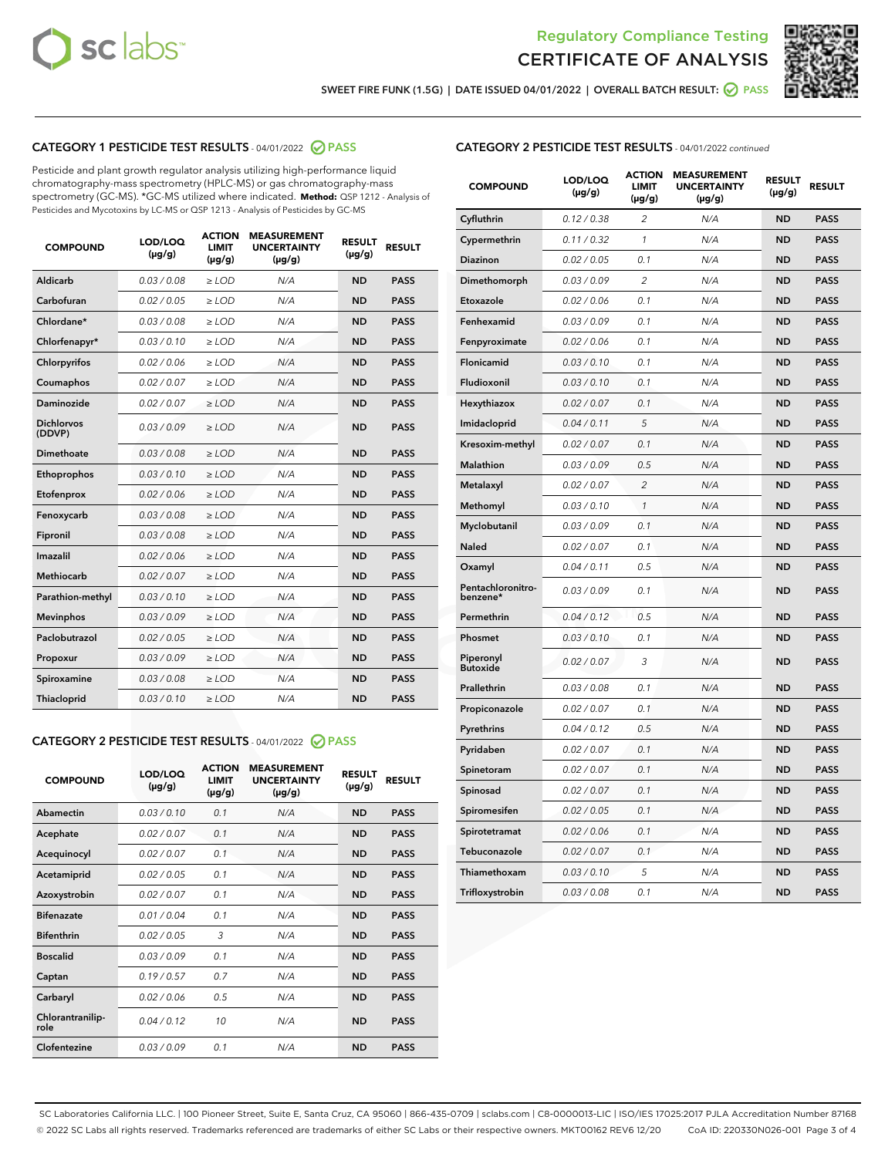



SWEET FIRE FUNK (1.5G) | DATE ISSUED 04/01/2022 | OVERALL BATCH RESULT: @ PASS

# CATEGORY 1 PESTICIDE TEST RESULTS - 04/01/2022 2 PASS

Pesticide and plant growth regulator analysis utilizing high-performance liquid chromatography-mass spectrometry (HPLC-MS) or gas chromatography-mass spectrometry (GC-MS). \*GC-MS utilized where indicated. **Method:** QSP 1212 - Analysis of Pesticides and Mycotoxins by LC-MS or QSP 1213 - Analysis of Pesticides by GC-MS

| <b>COMPOUND</b>             | LOD/LOO<br>$(\mu g/g)$ | <b>ACTION</b><br><b>LIMIT</b><br>$(\mu g/g)$ | <b>MEASUREMENT</b><br><b>UNCERTAINTY</b><br>$(\mu g/g)$ | <b>RESULT</b><br>$(\mu g/g)$ | <b>RESULT</b> |
|-----------------------------|------------------------|----------------------------------------------|---------------------------------------------------------|------------------------------|---------------|
| <b>Aldicarb</b>             | 0.03 / 0.08            | $\ge$ LOD                                    | N/A                                                     | <b>ND</b>                    | <b>PASS</b>   |
| Carbofuran                  | 0.02 / 0.05            | $\ge$ LOD                                    | N/A                                                     | <b>ND</b>                    | <b>PASS</b>   |
| Chlordane*                  | 0.03/0.08              | $>$ LOD                                      | N/A                                                     | <b>ND</b>                    | <b>PASS</b>   |
| Chlorfenapyr*               | 0.03 / 0.10            | $\ge$ LOD                                    | N/A                                                     | <b>ND</b>                    | <b>PASS</b>   |
| Chlorpyrifos                | 0.02/0.06              | $>$ LOD                                      | N/A                                                     | <b>ND</b>                    | <b>PASS</b>   |
| Coumaphos                   | 0.02 / 0.07            | $\ge$ LOD                                    | N/A                                                     | <b>ND</b>                    | <b>PASS</b>   |
| Daminozide                  | 0.02 / 0.07            | $\ge$ LOD                                    | N/A                                                     | <b>ND</b>                    | <b>PASS</b>   |
| <b>Dichlorvos</b><br>(DDVP) | 0.03/0.09              | $>$ LOD                                      | N/A                                                     | <b>ND</b>                    | <b>PASS</b>   |
| Dimethoate                  | 0.03 / 0.08            | $>$ LOD                                      | N/A                                                     | <b>ND</b>                    | <b>PASS</b>   |
| Ethoprophos                 | 0.03/0.10              | $>$ LOD                                      | N/A                                                     | <b>ND</b>                    | <b>PASS</b>   |
| Etofenprox                  | 0.02 / 0.06            | $\ge$ LOD                                    | N/A                                                     | <b>ND</b>                    | <b>PASS</b>   |
| Fenoxycarb                  | 0.03/0.08              | $>$ LOD                                      | N/A                                                     | <b>ND</b>                    | <b>PASS</b>   |
| Fipronil                    | 0.03 / 0.08            | $\ge$ LOD                                    | N/A                                                     | <b>ND</b>                    | <b>PASS</b>   |
| Imazalil                    | 0.02 / 0.06            | $\ge$ LOD                                    | N/A                                                     | <b>ND</b>                    | <b>PASS</b>   |
| <b>Methiocarb</b>           | 0.02 / 0.07            | $\ge$ LOD                                    | N/A                                                     | <b>ND</b>                    | <b>PASS</b>   |
| Parathion-methyl            | 0.03/0.10              | $\ge$ LOD                                    | N/A                                                     | <b>ND</b>                    | <b>PASS</b>   |
| <b>Mevinphos</b>            | 0.03/0.09              | $\ge$ LOD                                    | N/A                                                     | <b>ND</b>                    | <b>PASS</b>   |
| Paclobutrazol               | 0.02 / 0.05            | $\ge$ LOD                                    | N/A                                                     | <b>ND</b>                    | <b>PASS</b>   |
| Propoxur                    | 0.03/0.09              | $\ge$ LOD                                    | N/A                                                     | <b>ND</b>                    | <b>PASS</b>   |
| Spiroxamine                 | 0.03 / 0.08            | $\ge$ LOD                                    | N/A                                                     | <b>ND</b>                    | <b>PASS</b>   |
| Thiacloprid                 | 0.03/0.10              | $\ge$ LOD                                    | N/A                                                     | <b>ND</b>                    | <b>PASS</b>   |

# CATEGORY 2 PESTICIDE TEST RESULTS - 04/01/2022 @ PASS

| <b>COMPOUND</b>          | LOD/LOO<br>$(\mu g/g)$ | <b>ACTION</b><br>LIMIT<br>$(\mu g/g)$ | <b>MEASUREMENT</b><br><b>UNCERTAINTY</b><br>$(\mu g/g)$ | <b>RESULT</b><br>$(\mu g/g)$ | <b>RESULT</b> |  |
|--------------------------|------------------------|---------------------------------------|---------------------------------------------------------|------------------------------|---------------|--|
| Abamectin                | 0.03/0.10              | 0.1                                   | N/A                                                     | <b>ND</b>                    | <b>PASS</b>   |  |
| Acephate                 | 0.02/0.07              | 0.1                                   | N/A                                                     | <b>ND</b>                    | <b>PASS</b>   |  |
| Acequinocyl              | 0.02/0.07              | 0.1                                   | N/A                                                     | <b>ND</b>                    | <b>PASS</b>   |  |
| Acetamiprid              | 0.02/0.05              | 0.1                                   | N/A                                                     | <b>ND</b>                    | <b>PASS</b>   |  |
| Azoxystrobin             | 0.02/0.07              | 0.1                                   | N/A                                                     | <b>ND</b>                    | <b>PASS</b>   |  |
| <b>Bifenazate</b>        | 0.01/0.04              | 0.1                                   | N/A                                                     | <b>ND</b>                    | <b>PASS</b>   |  |
| <b>Bifenthrin</b>        | 0.02/0.05              | 3                                     | N/A                                                     | <b>ND</b>                    | <b>PASS</b>   |  |
| <b>Boscalid</b>          | 0.03/0.09              | 0.1                                   | N/A                                                     | <b>ND</b>                    | <b>PASS</b>   |  |
| Captan                   | 0.19/0.57              | 07                                    | N/A                                                     | <b>ND</b>                    | <b>PASS</b>   |  |
| Carbaryl                 | 0.02/0.06              | 0.5                                   | N/A                                                     | <b>ND</b>                    | <b>PASS</b>   |  |
| Chlorantranilip-<br>role | 0.04/0.12              | 10                                    | N/A                                                     | <b>ND</b>                    | <b>PASS</b>   |  |
| Clofentezine             | 0.03/0.09              | 0.1                                   | N/A                                                     | <b>ND</b>                    | <b>PASS</b>   |  |

# CATEGORY 2 PESTICIDE TEST RESULTS - 04/01/2022 continued

| <b>COMPOUND</b>               | LOD/LOQ<br>(µg/g) | <b>ACTION</b><br><b>LIMIT</b><br>(µg/g) | <b>MEASUREMENT</b><br><b>UNCERTAINTY</b><br>$(\mu g/g)$ | <b>RESULT</b><br>(µg/g) | <b>RESULT</b> |
|-------------------------------|-------------------|-----------------------------------------|---------------------------------------------------------|-------------------------|---------------|
| Cyfluthrin                    | 0.12 / 0.38       | $\overline{c}$                          | N/A                                                     | <b>ND</b>               | <b>PASS</b>   |
| Cypermethrin                  | 0.11/0.32         | 1                                       | N/A                                                     | <b>ND</b>               | <b>PASS</b>   |
| <b>Diazinon</b>               | 0.02 / 0.05       | 0.1                                     | N/A                                                     | <b>ND</b>               | <b>PASS</b>   |
| Dimethomorph                  | 0.03 / 0.09       | 2                                       | N/A                                                     | <b>ND</b>               | <b>PASS</b>   |
| Etoxazole                     | 0.02 / 0.06       | 0.1                                     | N/A                                                     | <b>ND</b>               | <b>PASS</b>   |
| Fenhexamid                    | 0.03 / 0.09       | 0.1                                     | N/A                                                     | <b>ND</b>               | <b>PASS</b>   |
| Fenpyroximate                 | 0.02 / 0.06       | 0.1                                     | N/A                                                     | <b>ND</b>               | <b>PASS</b>   |
| Flonicamid                    | 0.03 / 0.10       | 0.1                                     | N/A                                                     | ND                      | <b>PASS</b>   |
| Fludioxonil                   | 0.03 / 0.10       | 0.1                                     | N/A                                                     | <b>ND</b>               | <b>PASS</b>   |
| Hexythiazox                   | 0.02 / 0.07       | 0.1                                     | N/A                                                     | <b>ND</b>               | <b>PASS</b>   |
| Imidacloprid                  | 0.04 / 0.11       | 5                                       | N/A                                                     | <b>ND</b>               | <b>PASS</b>   |
| Kresoxim-methyl               | 0.02 / 0.07       | 0.1                                     | N/A                                                     | <b>ND</b>               | <b>PASS</b>   |
| <b>Malathion</b>              | 0.03 / 0.09       | 0.5                                     | N/A                                                     | <b>ND</b>               | <b>PASS</b>   |
| Metalaxyl                     | 0.02 / 0.07       | $\overline{c}$                          | N/A                                                     | <b>ND</b>               | <b>PASS</b>   |
| Methomyl                      | 0.03/0.10         | 1                                       | N/A                                                     | <b>ND</b>               | <b>PASS</b>   |
| Myclobutanil                  | 0.03 / 0.09       | 0.1                                     | N/A                                                     | <b>ND</b>               | <b>PASS</b>   |
| Naled                         | 0.02 / 0.07       | 0.1                                     | N/A                                                     | ND                      | <b>PASS</b>   |
| Oxamyl                        | 0.04 / 0.11       | 0.5                                     | N/A                                                     | ND                      | <b>PASS</b>   |
| Pentachloronitro-<br>benzene* | 0.03 / 0.09       | 0.1                                     | N/A                                                     | <b>ND</b>               | <b>PASS</b>   |
| Permethrin                    | 0.04 / 0.12       | 0.5                                     | N/A                                                     | <b>ND</b>               | <b>PASS</b>   |
| Phosmet                       | 0.03 / 0.10       | 0.1                                     | N/A                                                     | <b>ND</b>               | <b>PASS</b>   |
| Piperonyl<br><b>Butoxide</b>  | 0.02 / 0.07       | 3                                       | N/A                                                     | <b>ND</b>               | <b>PASS</b>   |
| Prallethrin                   | 0.03 / 0.08       | 0.1                                     | N/A                                                     | <b>ND</b>               | <b>PASS</b>   |
| Propiconazole                 | 0.02 / 0.07       | 0.1                                     | N/A                                                     | ND                      | <b>PASS</b>   |
| Pyrethrins                    | 0.04 / 0.12       | 0.5                                     | N/A                                                     | ND                      | <b>PASS</b>   |
| Pyridaben                     | 0.02 / 0.07       | 0.1                                     | N/A                                                     | <b>ND</b>               | <b>PASS</b>   |
| Spinetoram                    | 0.02 / 0.07       | 0.1                                     | N/A                                                     | ND                      | <b>PASS</b>   |
| Spinosad                      | 0.02 / 0.07       | 0.1                                     | N/A                                                     | <b>ND</b>               | <b>PASS</b>   |
| Spiromesifen                  | 0.02 / 0.05       | 0.1                                     | N/A                                                     | <b>ND</b>               | <b>PASS</b>   |
| Spirotetramat                 | 0.02 / 0.06       | 0.1                                     | N/A                                                     | <b>ND</b>               | <b>PASS</b>   |
| Tebuconazole                  | 0.02 / 0.07       | 0.1                                     | N/A                                                     | ND                      | <b>PASS</b>   |
| Thiamethoxam                  | 0.03 / 0.10       | 5                                       | N/A                                                     | <b>ND</b>               | <b>PASS</b>   |
| Trifloxystrobin               | 0.03 / 0.08       | 0.1                                     | N/A                                                     | <b>ND</b>               | <b>PASS</b>   |

SC Laboratories California LLC. | 100 Pioneer Street, Suite E, Santa Cruz, CA 95060 | 866-435-0709 | sclabs.com | C8-0000013-LIC | ISO/IES 17025:2017 PJLA Accreditation Number 87168 © 2022 SC Labs all rights reserved. Trademarks referenced are trademarks of either SC Labs or their respective owners. MKT00162 REV6 12/20 CoA ID: 220330N026-001 Page 3 of 4